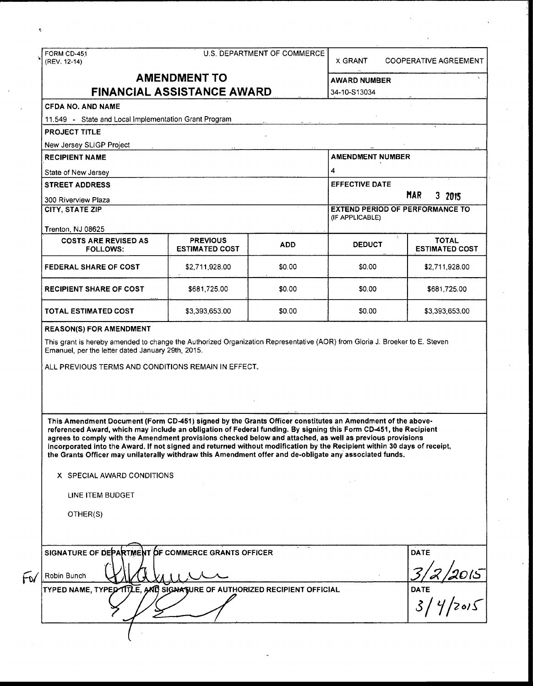|                                                                                                                                                                                                                                                                                                                                                                                                                                                                                                                                                                                                                 |                                                   |            | U.S. DEPARTMENT OF COMMERCE<br><b>X GRANT</b> | <b>COOPERATIVE AGREEMENT</b>          |  |
|-----------------------------------------------------------------------------------------------------------------------------------------------------------------------------------------------------------------------------------------------------------------------------------------------------------------------------------------------------------------------------------------------------------------------------------------------------------------------------------------------------------------------------------------------------------------------------------------------------------------|---------------------------------------------------|------------|-----------------------------------------------|---------------------------------------|--|
|                                                                                                                                                                                                                                                                                                                                                                                                                                                                                                                                                                                                                 | <b>AMENDMENT TO</b>                               |            |                                               | <b>AWARD NUMBER</b>                   |  |
|                                                                                                                                                                                                                                                                                                                                                                                                                                                                                                                                                                                                                 | <b>FINANCIAL ASSISTANCE AWARD</b>                 |            | 34-10-S13034                                  |                                       |  |
| <b>CFDA NO. AND NAME</b>                                                                                                                                                                                                                                                                                                                                                                                                                                                                                                                                                                                        |                                                   |            |                                               |                                       |  |
| 11.549 - State and Local Implementation Grant Program                                                                                                                                                                                                                                                                                                                                                                                                                                                                                                                                                           |                                                   |            |                                               |                                       |  |
| <b>PROJECT TITLE</b>                                                                                                                                                                                                                                                                                                                                                                                                                                                                                                                                                                                            |                                                   |            |                                               |                                       |  |
| New Jersey SLIGP Project                                                                                                                                                                                                                                                                                                                                                                                                                                                                                                                                                                                        |                                                   |            |                                               |                                       |  |
| <b>RECIPIENT NAME</b>                                                                                                                                                                                                                                                                                                                                                                                                                                                                                                                                                                                           |                                                   |            | <b>AMENDMENT NUMBER</b>                       |                                       |  |
| State of New Jersey                                                                                                                                                                                                                                                                                                                                                                                                                                                                                                                                                                                             |                                                   |            | 4                                             |                                       |  |
| <b>STREET ADDRESS</b>                                                                                                                                                                                                                                                                                                                                                                                                                                                                                                                                                                                           |                                                   |            | <b>EFFECTIVE DATE</b>                         |                                       |  |
|                                                                                                                                                                                                                                                                                                                                                                                                                                                                                                                                                                                                                 |                                                   |            |                                               | <b>MAR</b><br>3 2015                  |  |
| 300 Riverview Plaza<br><b>CITY, STATE ZIP</b>                                                                                                                                                                                                                                                                                                                                                                                                                                                                                                                                                                   |                                                   |            | <b>EXTEND PERIOD OF PERFORMANCE TO</b>        |                                       |  |
|                                                                                                                                                                                                                                                                                                                                                                                                                                                                                                                                                                                                                 |                                                   |            | (IF APPLICABLE)                               |                                       |  |
| Trenton, NJ 08625                                                                                                                                                                                                                                                                                                                                                                                                                                                                                                                                                                                               |                                                   |            |                                               |                                       |  |
| <b>COSTS ARE REVISED AS</b><br><b>FOLLOWS:</b>                                                                                                                                                                                                                                                                                                                                                                                                                                                                                                                                                                  | <b>PREVIOUS</b><br><b>ESTIMATED COST</b>          | <b>ADD</b> | <b>DEDUCT</b>                                 | <b>TOTAL</b><br><b>ESTIMATED COST</b> |  |
| <b>FEDERAL SHARE OF COST</b>                                                                                                                                                                                                                                                                                                                                                                                                                                                                                                                                                                                    | \$2,711,928.00                                    | \$0.00     | \$0.00                                        | \$2,711,928.00                        |  |
| <b>RECIPIENT SHARE OF COST</b>                                                                                                                                                                                                                                                                                                                                                                                                                                                                                                                                                                                  | \$681,725.00                                      | \$0.00     | \$0.00                                        | \$681,725.00                          |  |
| <b>TOTAL ESTIMATED COST</b>                                                                                                                                                                                                                                                                                                                                                                                                                                                                                                                                                                                     | \$3,393,653.00                                    | \$0.00     | \$0.00                                        | \$3,393,653.00                        |  |
|                                                                                                                                                                                                                                                                                                                                                                                                                                                                                                                                                                                                                 | Emanuel, per the letter dated January 29th, 2015. |            |                                               |                                       |  |
| ALL PREVIOUS TERMS AND CONDITIONS REMAIN IN EFFECT.                                                                                                                                                                                                                                                                                                                                                                                                                                                                                                                                                             |                                                   |            |                                               |                                       |  |
|                                                                                                                                                                                                                                                                                                                                                                                                                                                                                                                                                                                                                 |                                                   |            |                                               |                                       |  |
| This Amendment Document (Form CD-451) signed by the Grants Officer constitutes an Amendment of the above-<br>referenced Award, which may include an obligation of Federal funding. By signing this Form CD-451, the Recipient<br>agrees to comply with the Amendment provisions checked below and attached, as well as previous provisions<br>incorporated into the Award. If not signed and returned without modification by the Recipient within 30 days of receipt,<br>the Grants Officer may unilaterally withdraw this Amendment offer and de-obligate any associated funds.<br>X SPECIAL AWARD CONDITIONS |                                                   |            |                                               |                                       |  |
| LINE ITEM BUDGET                                                                                                                                                                                                                                                                                                                                                                                                                                                                                                                                                                                                |                                                   |            |                                               |                                       |  |
| OTHER(S)                                                                                                                                                                                                                                                                                                                                                                                                                                                                                                                                                                                                        |                                                   |            |                                               |                                       |  |
|                                                                                                                                                                                                                                                                                                                                                                                                                                                                                                                                                                                                                 |                                                   |            |                                               |                                       |  |
|                                                                                                                                                                                                                                                                                                                                                                                                                                                                                                                                                                                                                 |                                                   |            |                                               | <b>DATE</b>                           |  |
| SIGNATURE OF DEPARTMENT OF COMMERCE GRANTS OFFICER<br>Robin Bunch<br>TYPED NAME, TYPED TITLE, AND SIGNATURE OF AUTHORIZED RECIPIENT OFFICIAL                                                                                                                                                                                                                                                                                                                                                                                                                                                                    |                                                   |            |                                               | DATE $3/4/2015$<br><b>DATE</b>        |  |